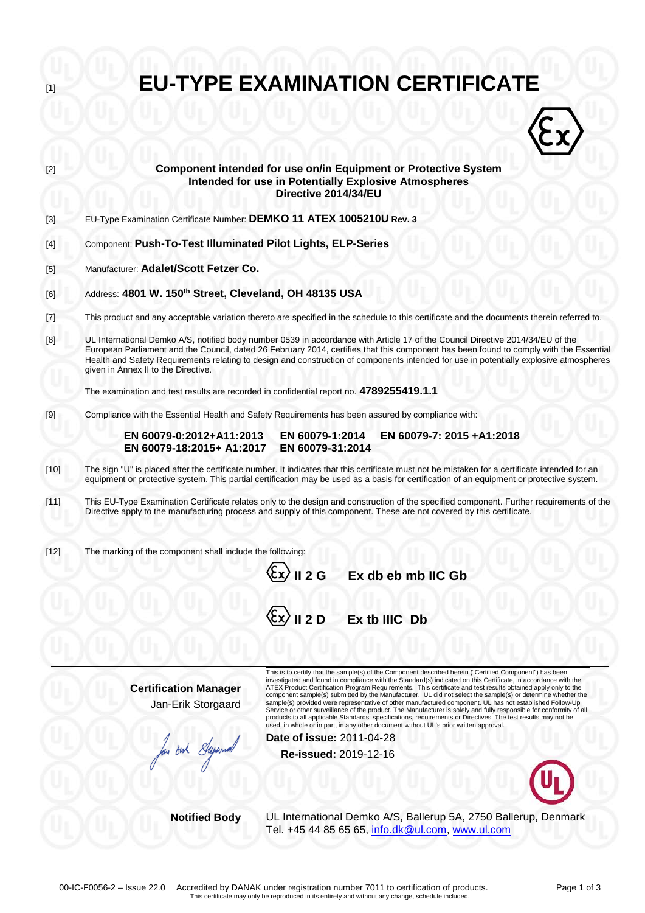| $[1]$  | <b>EU-TYPE EXAMINATION CERTIFICATE</b>                                                                                                                                                                                                                                                      |                                                                                                                                                                                                                                                                                                                                                                                                                                                                  |  |
|--------|---------------------------------------------------------------------------------------------------------------------------------------------------------------------------------------------------------------------------------------------------------------------------------------------|------------------------------------------------------------------------------------------------------------------------------------------------------------------------------------------------------------------------------------------------------------------------------------------------------------------------------------------------------------------------------------------------------------------------------------------------------------------|--|
|        |                                                                                                                                                                                                                                                                                             |                                                                                                                                                                                                                                                                                                                                                                                                                                                                  |  |
|        |                                                                                                                                                                                                                                                                                             |                                                                                                                                                                                                                                                                                                                                                                                                                                                                  |  |
| $[2]$  |                                                                                                                                                                                                                                                                                             | Component intended for use on/in Equipment or Protective System<br><b>Intended for use in Potentially Explosive Atmospheres</b><br>Directive 2014/34/EU                                                                                                                                                                                                                                                                                                          |  |
| $[3]$  | EU-Type Examination Certificate Number: DEMKO 11 ATEX 1005210U Rev. 3                                                                                                                                                                                                                       |                                                                                                                                                                                                                                                                                                                                                                                                                                                                  |  |
| $[4]$  | Component: Push-To-Test Illuminated Pilot Lights, ELP-Series                                                                                                                                                                                                                                |                                                                                                                                                                                                                                                                                                                                                                                                                                                                  |  |
| $[5]$  | Manufacturer: Adalet/Scott Fetzer Co.                                                                                                                                                                                                                                                       |                                                                                                                                                                                                                                                                                                                                                                                                                                                                  |  |
| [6]    | Address: 4801 W. 150 <sup>th</sup> Street, Cleveland, OH 48135 USA                                                                                                                                                                                                                          |                                                                                                                                                                                                                                                                                                                                                                                                                                                                  |  |
| $[7]$  | This product and any acceptable variation thereto are specified in the schedule to this certificate and the documents therein referred to.                                                                                                                                                  |                                                                                                                                                                                                                                                                                                                                                                                                                                                                  |  |
| [8]    | given in Annex II to the Directive.                                                                                                                                                                                                                                                         | UL International Demko A/S, notified body number 0539 in accordance with Article 17 of the Council Directive 2014/34/EU of the<br>European Parliament and the Council, dated 26 February 2014, certifies that this component has been found to comply with the Essential<br>Health and Safety Requirements relating to design and construction of components intended for use in potentially explosive atmospheres                                               |  |
|        |                                                                                                                                                                                                                                                                                             | The examination and test results are recorded in confidential report no. 4789255419.1.1                                                                                                                                                                                                                                                                                                                                                                          |  |
| $[9]$  | Compliance with the Essential Health and Safety Requirements has been assured by compliance with:                                                                                                                                                                                           |                                                                                                                                                                                                                                                                                                                                                                                                                                                                  |  |
|        | EN 60079-0:2012+A11:2013<br>EN 60079-18:2015+ A1:2017                                                                                                                                                                                                                                       | EN 60079-1:2014<br>EN 60079-7: 2015 +A1:2018<br>EN 60079-31:2014                                                                                                                                                                                                                                                                                                                                                                                                 |  |
| $[10]$ | The sign "U" is placed after the certificate number. It indicates that this certificate must not be mistaken for a certificate intended for an<br>equipment or protective system. This partial certification may be used as a basis for certification of an equipment or protective system. |                                                                                                                                                                                                                                                                                                                                                                                                                                                                  |  |
| $[11]$ | This EU-Type Examination Certificate relates only to the design and construction of the specified component. Further requirements of the<br>Directive apply to the manufacturing process and supply of this component. These are not covered by this certificate.                           |                                                                                                                                                                                                                                                                                                                                                                                                                                                                  |  |
| $[12]$ | The marking of the component shall include the following:                                                                                                                                                                                                                                   |                                                                                                                                                                                                                                                                                                                                                                                                                                                                  |  |
|        |                                                                                                                                                                                                                                                                                             | $\langle \xi$ x $\rangle$ II 2 G<br>Ex db eb mb IIC Gb                                                                                                                                                                                                                                                                                                                                                                                                           |  |
|        |                                                                                                                                                                                                                                                                                             | $\langle \xi x \rangle$    2 D<br>Ex tb IIIC Db                                                                                                                                                                                                                                                                                                                                                                                                                  |  |
|        |                                                                                                                                                                                                                                                                                             |                                                                                                                                                                                                                                                                                                                                                                                                                                                                  |  |
|        | <b>Certification Manager</b>                                                                                                                                                                                                                                                                | This is to certify that the sample(s) of the Component described herein ("Certified Component") has been<br>investigated and found in compliance with the Standard(s) indicated on this Certificate, in accordance with the<br>ATEX Product Certification Program Requirements. This certificate and test results obtained apply only to the                                                                                                                     |  |
|        | Jan-Erik Storgaard                                                                                                                                                                                                                                                                          | component sample(s) submitted by the Manufacturer. UL did not select the sample(s) or determine whether the<br>sample(s) provided were representative of other manufactured component. UL has not established Follow-Up<br>Service or other surveillance of the product. The Manufacturer is solely and fully responsible for conformity of all<br>products to all applicable Standards, specifications, requirements or Directives. The test results may not be |  |
|        |                                                                                                                                                                                                                                                                                             | used, in whole or in part, in any other document without UL's prior written approval.<br>Date of issue: 2011-04-28                                                                                                                                                                                                                                                                                                                                               |  |
|        | an But Superma                                                                                                                                                                                                                                                                              | Re-issued: 2019-12-16                                                                                                                                                                                                                                                                                                                                                                                                                                            |  |
|        |                                                                                                                                                                                                                                                                                             |                                                                                                                                                                                                                                                                                                                                                                                                                                                                  |  |
|        | <b>Notified Body</b>                                                                                                                                                                                                                                                                        | UL International Demko A/S, Ballerup 5A, 2750 Ballerup, Denmark                                                                                                                                                                                                                                                                                                                                                                                                  |  |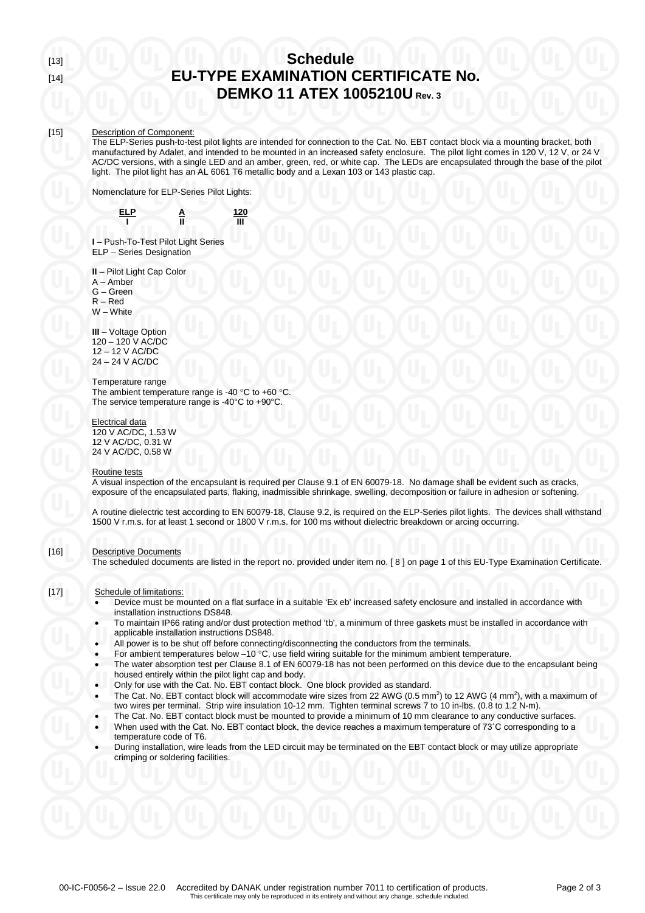## [13] **Schedule** [14] **EU-TYPE EXAMINATION CERTIFICATE No. DEMKO 11 ATEX 1005210U Rev. 3**

#### [15] Description of Component:

The ELP-Series push-to-test pilot lights are intended for connection to the Cat. No. EBT contact block via a mounting bracket, both manufactured by Adalet, and intended to be mounted in an increased safety enclosure. The pilot light comes in 120 V, 12 V, or 24 V AC/DC versions, with a single LED and an amber, green, red, or white cap. The LEDs are encapsulated through the base of the pilot light. The pilot light has an AL 6061 T6 metallic body and a Lexan 103 or 143 plastic cap.

Nomenclature for ELP-Series Pilot Lights:



**I** – Push-To-Test Pilot Light Series ELP – Series Designation

**II** – Pilot Light Cap Color

- A Amber
- G Green

R – Red W – White

**III** – Voltage Option 120 – 120 V AC/DC 12 – 12 V AC/DC 24 – 24 V AC/DC

### Temperature range

The ambient temperature range is -40 °C to +60 °C. The service temperature range is -40°C to +90°C.

Electrical data

120 V AC/DC, 1.53 W 12 V AC/DC, 0.31 W 24 V AC/DC, 0.58 W

## Routine tests

A visual inspection of the encapsulant is required per Clause 9.1 of EN 60079-18. No damage shall be evident such as cracks, exposure of the encapsulated parts, flaking, inadmissible shrinkage, swelling, decomposition or failure in adhesion or softening.

A routine dielectric test according to EN 60079-18, Clause 9.2, is required on the ELP-Series pilot lights. The devices shall withstand 1500 V r.m.s. for at least 1 second or 1800 V r.m.s. for 100 ms without dielectric breakdown or arcing occurring.

### [16] Descriptive Documents

The scheduled documents are listed in the report no. provided under item no. [ 8 ] on page 1 of this EU-Type Examination Certificate.

### [17] Schedule of limitations:

- Device must be mounted on a flat surface in a suitable 'Ex eb' increased safety enclosure and installed in accordance with installation instructions DS848.
- To maintain IP66 rating and/or dust protection method 'tb', a minimum of three gaskets must be installed in accordance with applicable installation instructions DS848.
- All power is to be shut off before connecting/disconnecting the conductors from the terminals.
- For ambient temperatures below  $-10$  °C, use field wiring suitable for the minimum ambient temperature.
- The water absorption test per Clause 8.1 of EN 60079-18 has not been performed on this device due to the encapsulant being housed entirely within the pilot light cap and body.
- Only for use with the Cat. No. EBT contact block. One block provided as standard.
- The Cat. No. EBT contact block will accommodate wire sizes from 22 AWG ( $0.5$  mm<sup>2</sup>) to 12 AWG ( $4$  mm<sup>2</sup>), with a maximum of two wires per terminal. Strip wire insulation 10-12 mm. Tighten terminal screws 7 to 10 in-lbs. (0.8 to 1.2 N-m).
	- The Cat. No. EBT contact block must be mounted to provide a minimum of 10 mm clearance to any conductive surfaces.
- When used with the Cat. No. EBT contact block, the device reaches a maximum temperature of 73˚C corresponding to a temperature code of T6.
- During installation, wire leads from the LED circuit may be terminated on the EBT contact block or may utilize appropriate crimping or soldering facilities.